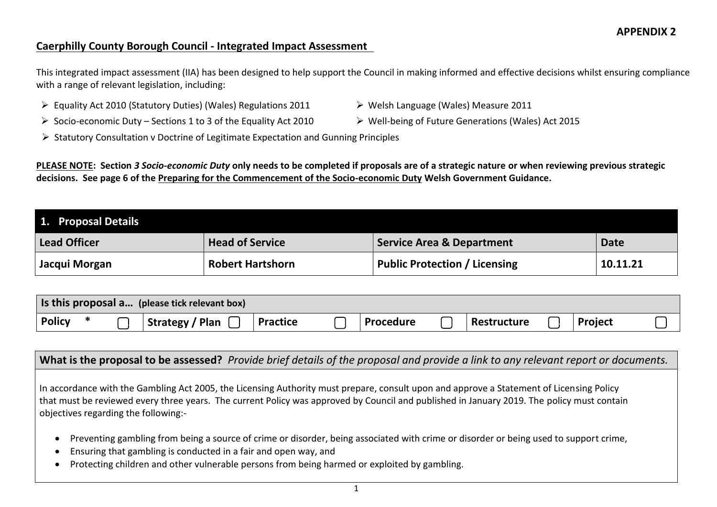### **Caerphilly County Borough Council - Integrated Impact Assessment**

This integrated impact assessment (IIA) has been designed to help support the Council in making informed and effective decisions whilst ensuring compliance with a range of relevant legislation, including:

- Equality Act 2010 (Statutory Duties) (Wales) Regulations 2011 Welsh Language (Wales) Measure 2011
- Socio-economic Duty Sections 1 to 3 of the Equality Act 2010 Well-being of Future Generations (Wales) Act 2015
- 
- $\triangleright$  Statutory Consultation v Doctrine of Legitimate Expectation and Gunning Principles

**PLEASE NOTE: Section** *3 Socio-economic Duty* **only needs to be completed if proposals are of a strategic nature or when reviewing previous strategic decisions. See page 6 of the [Preparing for the Commencement of the Socio-economic Duty](https://gov.wales/sites/default/files/publications/2020-07/preparing-for-the-commencement-of-the-socio-economic-duty.pdf) Welsh Government Guidance.**

| 1. Proposal Details |                         |                                      |             |
|---------------------|-------------------------|--------------------------------------|-------------|
| Lead Officer        | <b>Head of Service</b>  | <b>Service Area &amp; Department</b> | <b>Date</b> |
| Jacqui Morgan       | <b>Robert Hartshorn</b> | Public Protection / Licensing        | 10.11.21    |

|               |  | Is this proposal a (please tick relevant box) |                 |                  |             |                |  |
|---------------|--|-----------------------------------------------|-----------------|------------------|-------------|----------------|--|
| <b>Policy</b> |  | <b>Strategy / Plan</b>                        | <b>Practice</b> | <b>Procedure</b> | Restructure | <b>Project</b> |  |

**What is the proposal to be assessed?** *Provide brief details of the proposal and provide a link to any relevant report or documents.* c  $\overline{ }$ x  $\overline{ }$ 

In accordance with the Gambling Act 2005, the Licensing Authority must prepare, consult upon and approve a Statement of Licensing Policy that must be reviewed every three years. The current Policy was approved by Council and published in January 2019. The policy must contain objectives regarding the following:-

- Preventing gambling from being a source of crime or disorder, being associated with crime or disorder or being used to support crime,
- Ensuring that gambling is conducted in a fair and open way, and
- Protecting children and other vulnerable persons from being harmed or exploited by gambling.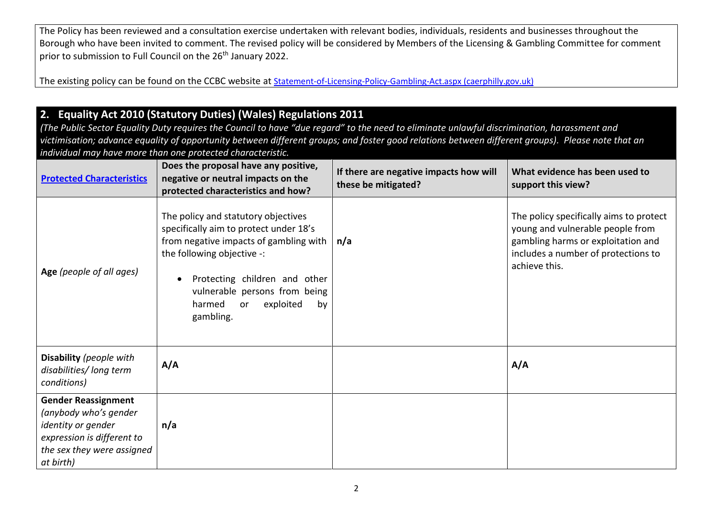The Policy has been reviewed and a consultation exercise undertaken with relevant bodies, individuals, residents and businesses throughout the Borough who have been invited to comment. The revised policy will be considered by Members of the Licensing & Gambling Committee for comment prior to submission to Full Council on the 26<sup>th</sup> January 2022.

The existing policy can be found on the CCBC website at [Statement-of-Licensing-Policy-Gambling-Act.aspx \(caerphilly.gov.uk\)](https://www.caerphilly.gov.uk/CaerphillyDocs/Licensing/Statement-of-Licensing-Policy-Gambling-Act.aspx)

## **2. Equality Act 2010 (Statutory Duties) (Wales) Regulations 2011**

*(The Public Sector Equality Duty requires the Council to have "due regard" to the need to eliminate unlawful discrimination, harassment and victimisation; advance equality of opportunity between different groups; and foster good relations between different groups). Please note that an individual may have more than one protected characteristic.*

| <b>Protected Characteristics</b>                                                                                                                   | Does the proposal have any positive,<br>negative or neutral impacts on the<br>protected characteristics and how?                                                                                                                                                               | If there are negative impacts how will<br>these be mitigated? | What evidence has been used to<br>support this view?                                                                                                                      |
|----------------------------------------------------------------------------------------------------------------------------------------------------|--------------------------------------------------------------------------------------------------------------------------------------------------------------------------------------------------------------------------------------------------------------------------------|---------------------------------------------------------------|---------------------------------------------------------------------------------------------------------------------------------------------------------------------------|
| Age (people of all ages)                                                                                                                           | The policy and statutory objectives<br>specifically aim to protect under 18's<br>from negative impacts of gambling with<br>the following objective -:<br>Protecting children and other<br>vulnerable persons from being<br>exploited<br>harmed<br><b>or</b><br>by<br>gambling. | n/a                                                           | The policy specifically aims to protect<br>young and vulnerable people from<br>gambling harms or exploitation and<br>includes a number of protections to<br>achieve this. |
| Disability (people with<br>disabilities/long term<br>conditions)                                                                                   | A/A                                                                                                                                                                                                                                                                            |                                                               | A/A                                                                                                                                                                       |
| <b>Gender Reassignment</b><br>(anybody who's gender<br>identity or gender<br>expression is different to<br>the sex they were assigned<br>at birth) | n/a                                                                                                                                                                                                                                                                            |                                                               |                                                                                                                                                                           |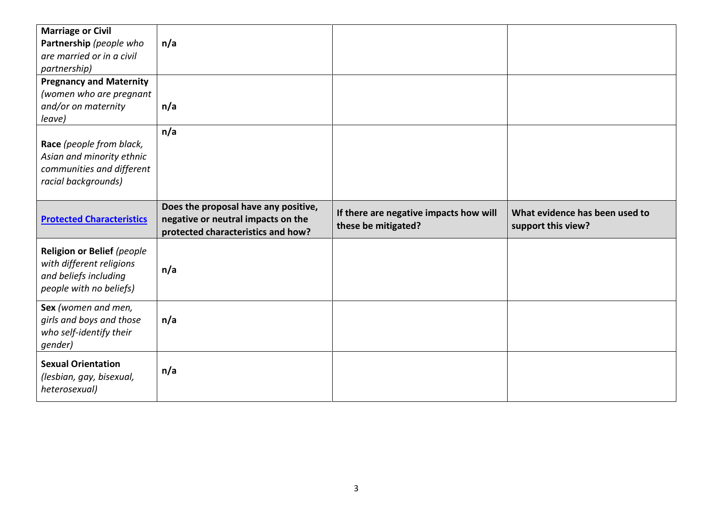| <b>Marriage or Civil</b><br>Partnership (people who<br>are married or in a civil<br>partnership)           | n/a                                                                                                              |                                                               |                                                      |
|------------------------------------------------------------------------------------------------------------|------------------------------------------------------------------------------------------------------------------|---------------------------------------------------------------|------------------------------------------------------|
| <b>Pregnancy and Maternity</b><br>(women who are pregnant<br>and/or on maternity<br>leave)                 | n/a                                                                                                              |                                                               |                                                      |
| Race (people from black,<br>Asian and minority ethnic<br>communities and different<br>racial backgrounds)  | n/a                                                                                                              |                                                               |                                                      |
| <b>Protected Characteristics</b>                                                                           | Does the proposal have any positive,<br>negative or neutral impacts on the<br>protected characteristics and how? | If there are negative impacts how will<br>these be mitigated? | What evidence has been used to<br>support this view? |
| Religion or Belief (people<br>with different religions<br>and beliefs including<br>people with no beliefs) | n/a                                                                                                              |                                                               |                                                      |
| Sex (women and men,<br>girls and boys and those                                                            | n/a                                                                                                              |                                                               |                                                      |
| who self-identify their<br>gender)                                                                         |                                                                                                                  |                                                               |                                                      |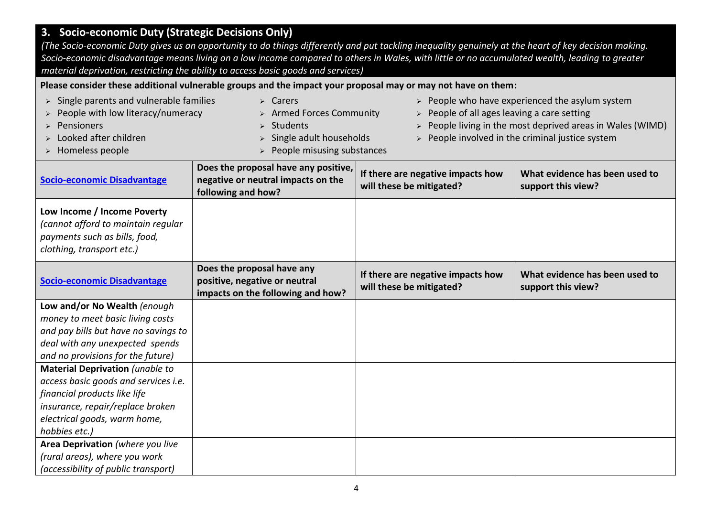## **3. Socio-economic Duty (Strategic Decisions Only)**

*(The Socio-economic Duty gives us an opportunity to do things differently and put tackling inequality genuinely at the heart of key decision making. Socio-economic disadvantage means living on a low income compared to others in Wales, with little or no accumulated wealth, leading to greater material deprivation, restricting the ability to access basic goods and services)*

### **Please consider these additional vulnerable groups and the impact your proposal may or may not have on them:**

| $\triangleright$ Single parents and vulnerable families<br>People with low literacy/numeracy<br>Pensioners<br>Looked after children<br>> Homeless people | $\triangleright$ Carers<br><b>Armed Forces Community</b><br>Students<br>Single adult households<br>People misusing substances | People of all ages leaving a care setting                     | $\triangleright$ People who have experienced the asylum system<br>People living in the most deprived areas in Wales (WIMD)<br>$\triangleright$ People involved in the criminal justice system |
|----------------------------------------------------------------------------------------------------------------------------------------------------------|-------------------------------------------------------------------------------------------------------------------------------|---------------------------------------------------------------|-----------------------------------------------------------------------------------------------------------------------------------------------------------------------------------------------|
| <b>Socio-economic Disadvantage</b>                                                                                                                       | Does the proposal have any positive,<br>negative or neutral impacts on the<br>following and how?                              | If there are negative impacts how<br>will these be mitigated? | What evidence has been used to<br>support this view?                                                                                                                                          |
| Low Income / Income Poverty<br>(cannot afford to maintain regular<br>payments such as bills, food,<br>clothing, transport etc.)                          |                                                                                                                               |                                                               |                                                                                                                                                                                               |
| <b>Socio-economic Disadvantage</b>                                                                                                                       | Does the proposal have any<br>positive, negative or neutral<br>impacts on the following and how?                              | If there are negative impacts how<br>will these be mitigated? | What evidence has been used to<br>support this view?                                                                                                                                          |
| Low and/or No Wealth (enough                                                                                                                             |                                                                                                                               |                                                               |                                                                                                                                                                                               |
| money to meet basic living costs                                                                                                                         |                                                                                                                               |                                                               |                                                                                                                                                                                               |
| and pay bills but have no savings to                                                                                                                     |                                                                                                                               |                                                               |                                                                                                                                                                                               |
| deal with any unexpected spends                                                                                                                          |                                                                                                                               |                                                               |                                                                                                                                                                                               |
| and no provisions for the future)                                                                                                                        |                                                                                                                               |                                                               |                                                                                                                                                                                               |
| <b>Material Deprivation (unable to</b>                                                                                                                   |                                                                                                                               |                                                               |                                                                                                                                                                                               |
| access basic goods and services i.e.                                                                                                                     |                                                                                                                               |                                                               |                                                                                                                                                                                               |
| financial products like life                                                                                                                             |                                                                                                                               |                                                               |                                                                                                                                                                                               |
| insurance, repair/replace broken                                                                                                                         |                                                                                                                               |                                                               |                                                                                                                                                                                               |
| electrical goods, warm home,                                                                                                                             |                                                                                                                               |                                                               |                                                                                                                                                                                               |
| hobbies etc.)                                                                                                                                            |                                                                                                                               |                                                               |                                                                                                                                                                                               |
| Area Deprivation (where you live                                                                                                                         |                                                                                                                               |                                                               |                                                                                                                                                                                               |
| (rural areas), where you work                                                                                                                            |                                                                                                                               |                                                               |                                                                                                                                                                                               |
| (accessibility of public transport)                                                                                                                      |                                                                                                                               |                                                               |                                                                                                                                                                                               |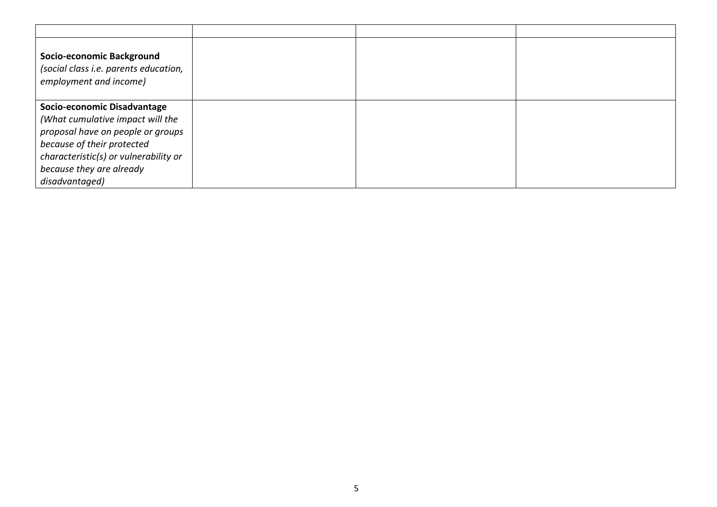| Socio-economic Background<br>(social class i.e. parents education,<br>employment and income) |  |  |
|----------------------------------------------------------------------------------------------|--|--|
| Socio-economic Disadvantage                                                                  |  |  |
| (What cumulative impact will the                                                             |  |  |
| proposal have on people or groups                                                            |  |  |
| because of their protected                                                                   |  |  |
| characteristic(s) or vulnerability or                                                        |  |  |
| because they are already                                                                     |  |  |
| disadvantaged)                                                                               |  |  |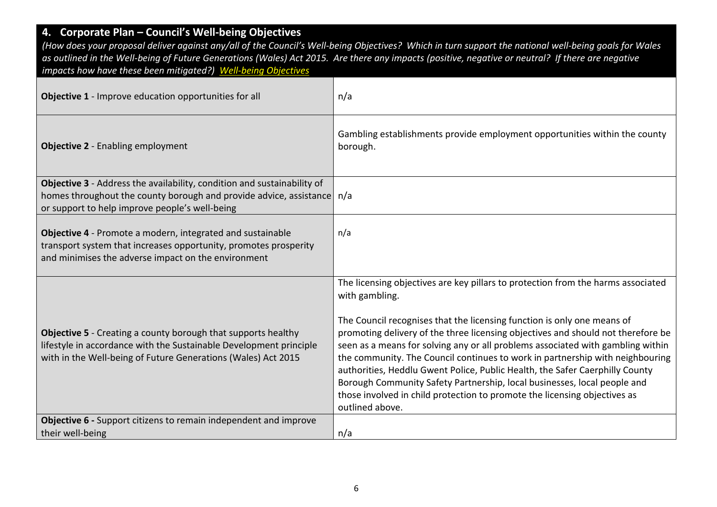## **4. Corporate Plan – Council's Well-being Objectives**

*(How does your proposal deliver against any/all of the Council's Well-being Objectives? Which in turn support the national well-being goals for Wales as outlined in the Well-being of Future Generations (Wales) Act 2015. Are there any impacts (positive, negative or neutral? If there are negative impacts how have these been mitigated?) [Well-being Objectives](https://www.caerphilly.gov.uk/CaerphillyDocs/Council-and-democracy/Corporate_Plan_2018-2023.aspx)*

| <b>Objective 1</b> - Improve education opportunities for all                                                                                                                                                | n/a                                                                                                                                                                                                                                                                                                                                                                                                                                                                                                                                                                                                                                                                                               |
|-------------------------------------------------------------------------------------------------------------------------------------------------------------------------------------------------------------|---------------------------------------------------------------------------------------------------------------------------------------------------------------------------------------------------------------------------------------------------------------------------------------------------------------------------------------------------------------------------------------------------------------------------------------------------------------------------------------------------------------------------------------------------------------------------------------------------------------------------------------------------------------------------------------------------|
| <b>Objective 2 - Enabling employment</b>                                                                                                                                                                    | Gambling establishments provide employment opportunities within the county<br>borough.                                                                                                                                                                                                                                                                                                                                                                                                                                                                                                                                                                                                            |
| Objective 3 - Address the availability, condition and sustainability of<br>homes throughout the county borough and provide advice, assistance n/a<br>or support to help improve people's well-being         |                                                                                                                                                                                                                                                                                                                                                                                                                                                                                                                                                                                                                                                                                                   |
| Objective 4 - Promote a modern, integrated and sustainable<br>transport system that increases opportunity, promotes prosperity<br>and minimises the adverse impact on the environment                       | n/a                                                                                                                                                                                                                                                                                                                                                                                                                                                                                                                                                                                                                                                                                               |
| <b>Objective 5</b> - Creating a county borough that supports healthy<br>lifestyle in accordance with the Sustainable Development principle<br>with in the Well-being of Future Generations (Wales) Act 2015 | The licensing objectives are key pillars to protection from the harms associated<br>with gambling.<br>The Council recognises that the licensing function is only one means of<br>promoting delivery of the three licensing objectives and should not therefore be<br>seen as a means for solving any or all problems associated with gambling within<br>the community. The Council continues to work in partnership with neighbouring<br>authorities, Heddlu Gwent Police, Public Health, the Safer Caerphilly County<br>Borough Community Safety Partnership, local businesses, local people and<br>those involved in child protection to promote the licensing objectives as<br>outlined above. |
| Objective 6 - Support citizens to remain independent and improve                                                                                                                                            |                                                                                                                                                                                                                                                                                                                                                                                                                                                                                                                                                                                                                                                                                                   |
| their well-being                                                                                                                                                                                            | n/a                                                                                                                                                                                                                                                                                                                                                                                                                                                                                                                                                                                                                                                                                               |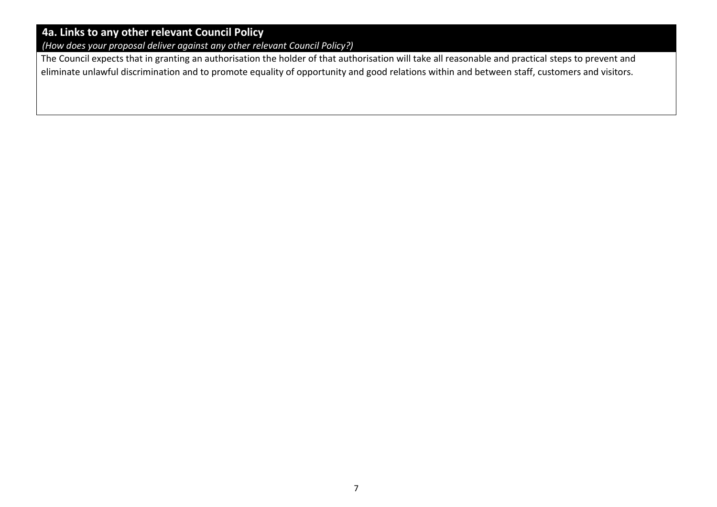## **4a. Links to any other relevant Council Policy**

*(How does your proposal deliver against any other relevant Council Policy?)*

The Council expects that in granting an authorisation the holder of that authorisation will take all reasonable and practical steps to prevent and eliminate unlawful discrimination and to promote equality of opportunity and good relations within and between staff, customers and visitors.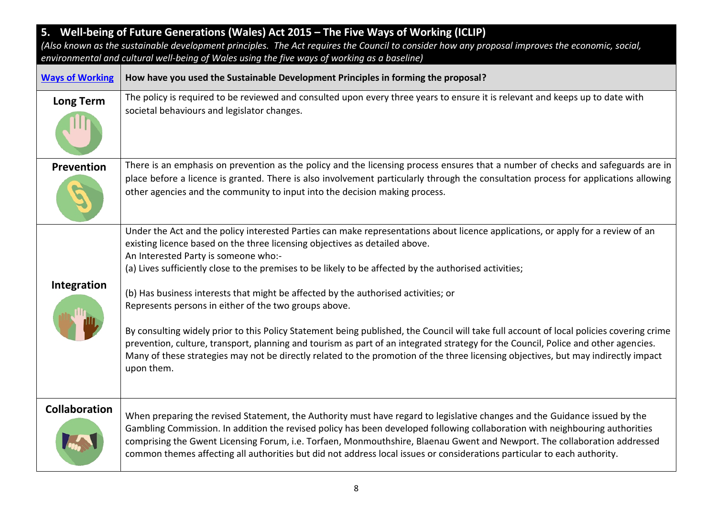| 5. Well-being of Future Generations (Wales) Act 2015 - The Five Ways of Working (ICLIP)<br>(Also known as the sustainable development principles. The Act requires the Council to consider how any proposal improves the economic, social, |                                                                                                                                                                                                                                                                                                                                                                                                                                                                                                                                                                                   |  |  |
|--------------------------------------------------------------------------------------------------------------------------------------------------------------------------------------------------------------------------------------------|-----------------------------------------------------------------------------------------------------------------------------------------------------------------------------------------------------------------------------------------------------------------------------------------------------------------------------------------------------------------------------------------------------------------------------------------------------------------------------------------------------------------------------------------------------------------------------------|--|--|
|                                                                                                                                                                                                                                            | environmental and cultural well-being of Wales using the five ways of working as a baseline)                                                                                                                                                                                                                                                                                                                                                                                                                                                                                      |  |  |
| <b>Ways of Working</b>                                                                                                                                                                                                                     | How have you used the Sustainable Development Principles in forming the proposal?                                                                                                                                                                                                                                                                                                                                                                                                                                                                                                 |  |  |
| <b>Long Term</b>                                                                                                                                                                                                                           | The policy is required to be reviewed and consulted upon every three years to ensure it is relevant and keeps up to date with<br>societal behaviours and legislator changes.                                                                                                                                                                                                                                                                                                                                                                                                      |  |  |
| <b>Prevention</b>                                                                                                                                                                                                                          | There is an emphasis on prevention as the policy and the licensing process ensures that a number of checks and safeguards are in<br>place before a licence is granted. There is also involvement particularly through the consultation process for applications allowing<br>other agencies and the community to input into the decision making process.                                                                                                                                                                                                                           |  |  |
| Integration                                                                                                                                                                                                                                | Under the Act and the policy interested Parties can make representations about licence applications, or apply for a review of an<br>existing licence based on the three licensing objectives as detailed above.<br>An Interested Party is someone who:-<br>(a) Lives sufficiently close to the premises to be likely to be affected by the authorised activities;                                                                                                                                                                                                                 |  |  |
|                                                                                                                                                                                                                                            | (b) Has business interests that might be affected by the authorised activities; or<br>Represents persons in either of the two groups above.<br>By consulting widely prior to this Policy Statement being published, the Council will take full account of local policies covering crime<br>prevention, culture, transport, planning and tourism as part of an integrated strategy for the Council, Police and other agencies.<br>Many of these strategies may not be directly related to the promotion of the three licensing objectives, but may indirectly impact<br>upon them. |  |  |
| <b>Collaboration</b>                                                                                                                                                                                                                       | When preparing the revised Statement, the Authority must have regard to legislative changes and the Guidance issued by the<br>Gambling Commission. In addition the revised policy has been developed following collaboration with neighbouring authorities<br>comprising the Gwent Licensing Forum, i.e. Torfaen, Monmouthshire, Blaenau Gwent and Newport. The collaboration addressed<br>common themes affecting all authorities but did not address local issues or considerations particular to each authority.                                                               |  |  |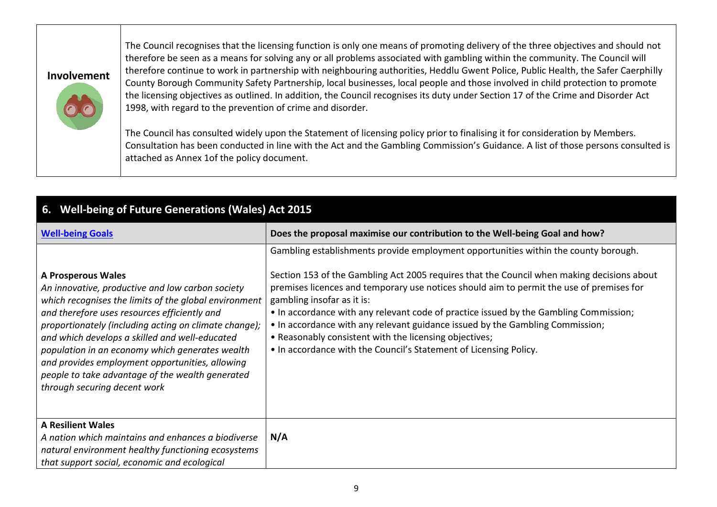| Involvement |  |
|-------------|--|
|             |  |

The Council recognises that the licensing function is only one means of promoting delivery of the three objectives and should not therefore be seen as a means for solving any or all problems associated with gambling within the community. The Council will therefore continue to work in partnership with neighbouring authorities, Heddlu Gwent Police, Public Health, the Safer Caerphilly County Borough Community Safety Partnership, local businesses, local people and those involved in child protection to promote the licensing objectives as outlined. In addition, the Council recognises its duty under Section 17 of the Crime and Disorder Act 1998, with regard to the prevention of crime and disorder.

The Council has consulted widely upon the Statement of licensing policy prior to finalising it for consideration by Members. Consultation has been conducted in line with the Act and the Gambling Commission's Guidance. A list of those persons consulted is attached as Annex 1of the policy document.

| 6. Well-being of Future Generations (Wales) Act 2015                                                                                                                                                                                                                                                                                                                                                                                                                                        |                                                                                                                                                                                                                                                                                                                                                                                                                                                                                                                                                                                                                      |  |
|---------------------------------------------------------------------------------------------------------------------------------------------------------------------------------------------------------------------------------------------------------------------------------------------------------------------------------------------------------------------------------------------------------------------------------------------------------------------------------------------|----------------------------------------------------------------------------------------------------------------------------------------------------------------------------------------------------------------------------------------------------------------------------------------------------------------------------------------------------------------------------------------------------------------------------------------------------------------------------------------------------------------------------------------------------------------------------------------------------------------------|--|
| <b>Well-being Goals</b>                                                                                                                                                                                                                                                                                                                                                                                                                                                                     | Does the proposal maximise our contribution to the Well-being Goal and how?                                                                                                                                                                                                                                                                                                                                                                                                                                                                                                                                          |  |
| <b>A Prosperous Wales</b><br>An innovative, productive and low carbon society<br>which recognises the limits of the global environment<br>and therefore uses resources efficiently and<br>proportionately (including acting on climate change);<br>and which develops a skilled and well-educated<br>population in an economy which generates wealth<br>and provides employment opportunities, allowing<br>people to take advantage of the wealth generated<br>through securing decent work | Gambling establishments provide employment opportunities within the county borough.<br>Section 153 of the Gambling Act 2005 requires that the Council when making decisions about<br>premises licences and temporary use notices should aim to permit the use of premises for<br>gambling insofar as it is:<br>• In accordance with any relevant code of practice issued by the Gambling Commission;<br>• In accordance with any relevant guidance issued by the Gambling Commission;<br>• Reasonably consistent with the licensing objectives;<br>. In accordance with the Council's Statement of Licensing Policy. |  |
| <b>A Resilient Wales</b><br>A nation which maintains and enhances a biodiverse<br>natural environment healthy functioning ecosystems<br>that support social, economic and ecological                                                                                                                                                                                                                                                                                                        | N/A                                                                                                                                                                                                                                                                                                                                                                                                                                                                                                                                                                                                                  |  |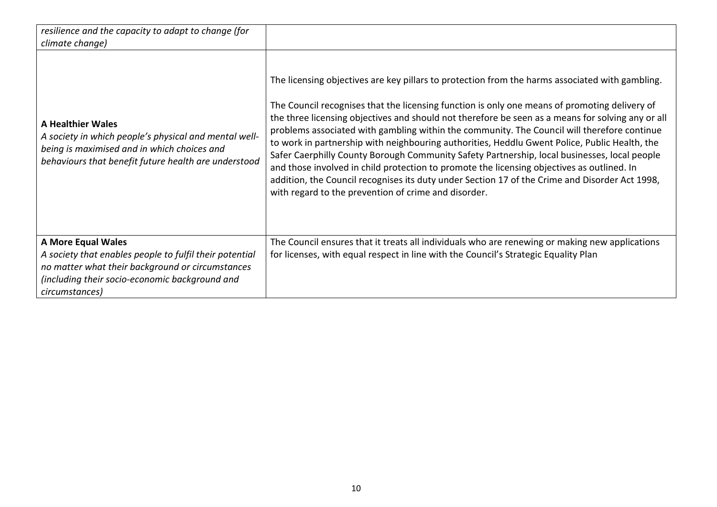| resilience and the capacity to adapt to change (for<br>climate change)                                                                                                                                       |                                                                                                                                                                                                                                                                                                                                                                                                                                                                                                                                                                                                                                                                                                                                                                                                                                                               |
|--------------------------------------------------------------------------------------------------------------------------------------------------------------------------------------------------------------|---------------------------------------------------------------------------------------------------------------------------------------------------------------------------------------------------------------------------------------------------------------------------------------------------------------------------------------------------------------------------------------------------------------------------------------------------------------------------------------------------------------------------------------------------------------------------------------------------------------------------------------------------------------------------------------------------------------------------------------------------------------------------------------------------------------------------------------------------------------|
| <b>A Healthier Wales</b><br>A society in which people's physical and mental well-<br>being is maximised and in which choices and<br>behaviours that benefit future health are understood                     | The licensing objectives are key pillars to protection from the harms associated with gambling.<br>The Council recognises that the licensing function is only one means of promoting delivery of<br>the three licensing objectives and should not therefore be seen as a means for solving any or all<br>problems associated with gambling within the community. The Council will therefore continue<br>to work in partnership with neighbouring authorities, Heddlu Gwent Police, Public Health, the<br>Safer Caerphilly County Borough Community Safety Partnership, local businesses, local people<br>and those involved in child protection to promote the licensing objectives as outlined. In<br>addition, the Council recognises its duty under Section 17 of the Crime and Disorder Act 1998,<br>with regard to the prevention of crime and disorder. |
| <b>A More Equal Wales</b><br>A society that enables people to fulfil their potential<br>no matter what their background or circumstances<br>(including their socio-economic background and<br>circumstances) | The Council ensures that it treats all individuals who are renewing or making new applications<br>for licenses, with equal respect in line with the Council's Strategic Equality Plan                                                                                                                                                                                                                                                                                                                                                                                                                                                                                                                                                                                                                                                                         |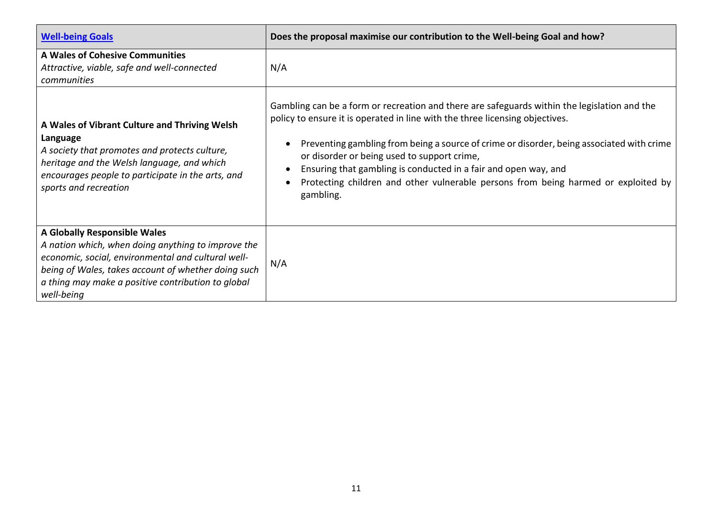| <b>Well-being Goals</b>                                                                                                                                                                                                                                             | Does the proposal maximise our contribution to the Well-being Goal and how?                                                                                                                                                                                                                                                                                                                                                                                                                    |
|---------------------------------------------------------------------------------------------------------------------------------------------------------------------------------------------------------------------------------------------------------------------|------------------------------------------------------------------------------------------------------------------------------------------------------------------------------------------------------------------------------------------------------------------------------------------------------------------------------------------------------------------------------------------------------------------------------------------------------------------------------------------------|
| A Wales of Cohesive Communities<br>Attractive, viable, safe and well-connected<br>communities                                                                                                                                                                       | N/A                                                                                                                                                                                                                                                                                                                                                                                                                                                                                            |
| A Wales of Vibrant Culture and Thriving Welsh<br>Language<br>A society that promotes and protects culture,<br>heritage and the Welsh language, and which<br>encourages people to participate in the arts, and<br>sports and recreation                              | Gambling can be a form or recreation and there are safeguards within the legislation and the<br>policy to ensure it is operated in line with the three licensing objectives.<br>Preventing gambling from being a source of crime or disorder, being associated with crime<br>or disorder or being used to support crime,<br>Ensuring that gambling is conducted in a fair and open way, and<br>Protecting children and other vulnerable persons from being harmed or exploited by<br>gambling. |
| A Globally Responsible Wales<br>A nation which, when doing anything to improve the<br>economic, social, environmental and cultural well-<br>being of Wales, takes account of whether doing such<br>a thing may make a positive contribution to global<br>well-being | N/A                                                                                                                                                                                                                                                                                                                                                                                                                                                                                            |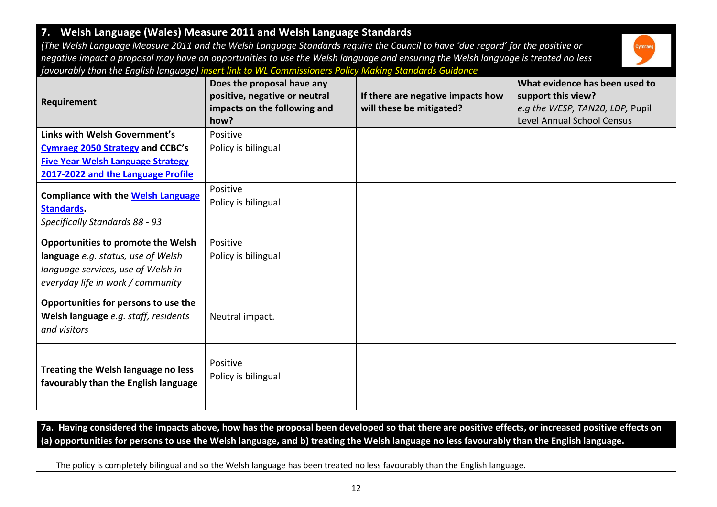#### *negative impact a proposal may have on opportunities to use the Welsh language and ensuring the Welsh language is treated no less favourably than the English language) insert link to WL Commissioners Policy Making Standards Guidance* **Requirement Does the proposal have any positive, negative or neutral impacts on the following and how? If there are negative impacts how will these be mitigated? What evidence has been used to support this view?** *e.g the WESP, TAN20, LDP,* Pupil Level Annual School Census **Links with Welsh Government's [Cymraeg 2050 Strategy](https://gov.wales/sites/default/files/publications/2018-12/cymraeg-2050-welsh-language-strategy.pdf) and CCBC's [Five Year Welsh Language Strategy](https://www.caerphilly.gov.uk/CaerphillyDocs/Equalities/Welsh-Language/WelsLanguageStrategy2017_22.aspx)  [2017-2022](https://www.caerphilly.gov.uk/CaerphillyDocs/Equalities/Welsh-Language/WelsLanguageStrategy2017_22.aspx) and the Language Profile** Positive Policy is bilingual **Compliance with the [Welsh Language](https://www.caerphilly.gov.uk/CaerphillyDocs/Equalities/ComplianceNotice.aspx)  [Standards.](https://www.caerphilly.gov.uk/CaerphillyDocs/Equalities/ComplianceNotice.aspx)**  *Specifically Standards 88 - 93* Positive Policy is bilingual **Opportunities to promote the Welsh language** *e.g. status, use of Welsh language services, use of Welsh in everyday life in work / community* Positive Policy is bilingual **Opportunities for persons to use the Welsh language** *e.g. staff, residents and visitors* Neutral impact. **Treating the Welsh language no less favourably than the English language** Positive Policy is bilingual

*(The Welsh Language Measure 2011 and the Welsh Language Standards require the Council to have 'due regard' for the positive or* 

**7a. Having considered the impacts above, how has the proposal been developed so that there are positive effects, or increased positive effects on (a) opportunities for persons to use the Welsh language, and b) treating the Welsh language no less favourably than the English language.**

The policy is completely bilingual and so the Welsh language has been treated no less favourably than the English language.

**7. Welsh Language (Wales) Measure 2011 and Welsh Language Standards**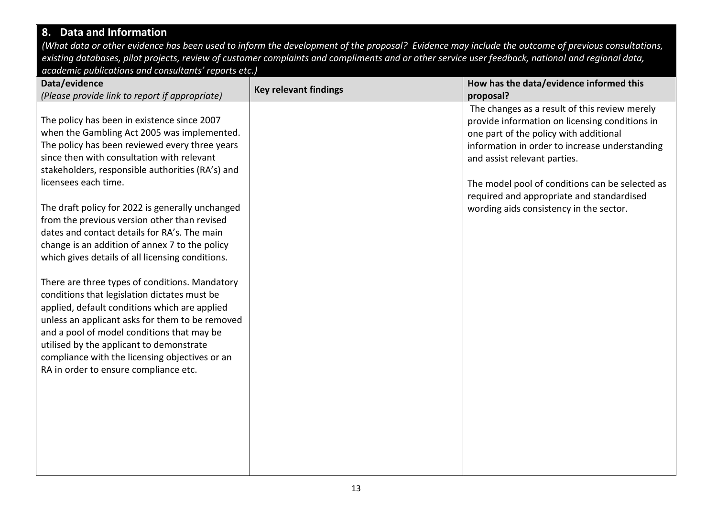## **8. Data and Information**

*(What data or other evidence has been used to inform the development of the proposal? Evidence may include the outcome of previous consultations, existing databases, pilot projects, review of customer complaints and compliments and or other service user feedback, national and regional data, academic publications and consultants' reports etc.)*

| Data/evidence                                                                                                                                                                                      | <b>Key relevant findings</b> | How has the data/evidence informed this                                                                                                   |
|----------------------------------------------------------------------------------------------------------------------------------------------------------------------------------------------------|------------------------------|-------------------------------------------------------------------------------------------------------------------------------------------|
| (Please provide link to report if appropriate)                                                                                                                                                     |                              | proposal?                                                                                                                                 |
| The policy has been in existence since 2007<br>when the Gambling Act 2005 was implemented.                                                                                                         |                              | The changes as a result of this review merely<br>provide information on licensing conditions in<br>one part of the policy with additional |
| The policy has been reviewed every three years<br>since then with consultation with relevant                                                                                                       |                              | information in order to increase understanding<br>and assist relevant parties.                                                            |
| stakeholders, responsible authorities (RA's) and<br>licensees each time.                                                                                                                           |                              | The model pool of conditions can be selected as                                                                                           |
| The draft policy for 2022 is generally unchanged<br>from the previous version other than revised<br>dates and contact details for RA's. The main                                                   |                              | required and appropriate and standardised<br>wording aids consistency in the sector.                                                      |
| change is an addition of annex 7 to the policy<br>which gives details of all licensing conditions.                                                                                                 |                              |                                                                                                                                           |
| There are three types of conditions. Mandatory<br>conditions that legislation dictates must be<br>applied, default conditions which are applied<br>unless an applicant asks for them to be removed |                              |                                                                                                                                           |
| and a pool of model conditions that may be<br>utilised by the applicant to demonstrate<br>compliance with the licensing objectives or an                                                           |                              |                                                                                                                                           |
| RA in order to ensure compliance etc.                                                                                                                                                              |                              |                                                                                                                                           |
|                                                                                                                                                                                                    |                              |                                                                                                                                           |
|                                                                                                                                                                                                    |                              |                                                                                                                                           |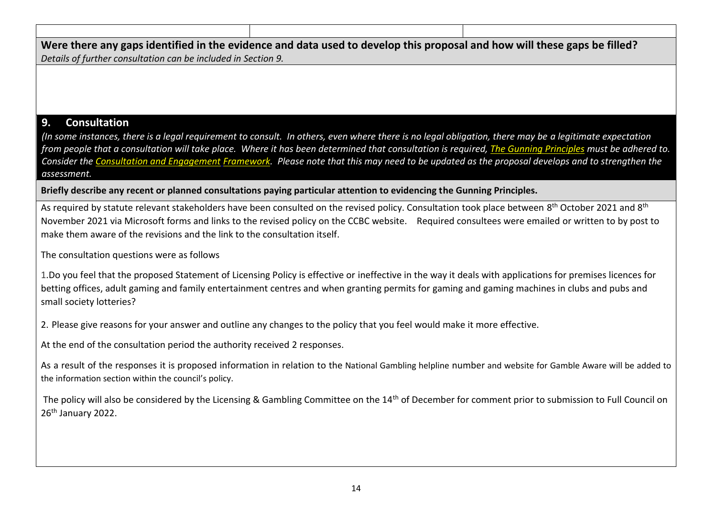**Were there any gaps identified in the evidence and data used to develop this proposal and how will these gaps be filled?**  *Details of further consultation can be included in Section 9.*

### **9. Consultation**

*(In some instances, there is a legal requirement to consult. In others, even where there is no legal obligation, there may be a legitimate expectation from people that a consultation will take place. Where it has been determined that consultation is required, [The Gunning Principles](https://www.consultationinstitute.org/the-gunning-principles-implications/) must be adhered to. Consider the [Consultation and Engagement](https://www.caerphilly.gov.uk/CaerphillyDocs/Consultations/Consultation-and-Engagement-Framework.aspx) Framework. Please note that this may need to be updated as the proposal develops and to strengthen the assessment.*

**Briefly describe any recent or planned consultations paying particular attention to evidencing the Gunning Principles.**

As required by statute relevant stakeholders have been consulted on the revised policy. Consultation took place between 8<sup>th</sup> October 2021 and 8<sup>th</sup> November 2021 via Microsoft forms and links to the revised policy on the CCBC website. Required consultees were emailed or written to by post to make them aware of the revisions and the link to the consultation itself.

The consultation questions were as follows

1.Do you feel that the proposed Statement of Licensing Policy is effective or ineffective in the way it deals with applications for premises licences for betting offices, adult gaming and family entertainment centres and when granting permits for gaming and gaming machines in clubs and pubs and small society lotteries?

2. Please give reasons for your answer and outline any changes to the policy that you feel would make it more effective.

At the end of the consultation period the authority received 2 responses.

As a result of the responses it is proposed information in relation to the National Gambling helpline number and website for Gamble Aware will be added to the information section within the council's policy.

The policy will also be considered by the Licensing & Gambling Committee on the 14<sup>th</sup> of December for comment prior to submission to Full Council on 26<sup>th</sup> January 2022.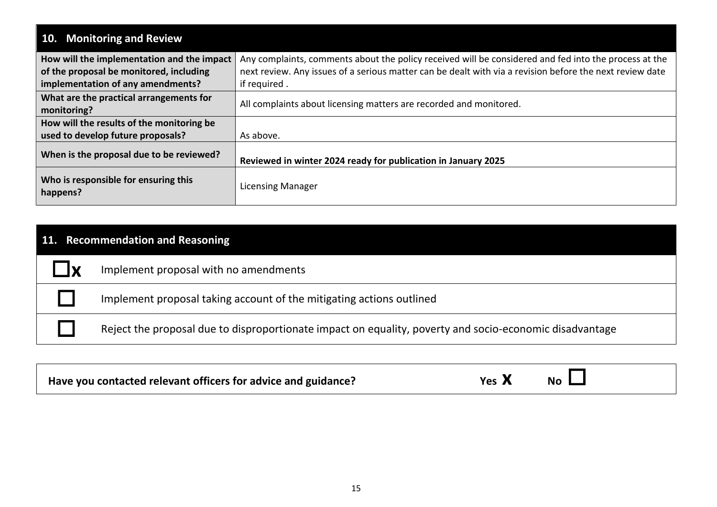| 10. Monitoring and Review                                                                                                  |                                                                                                                                                                                                                                   |
|----------------------------------------------------------------------------------------------------------------------------|-----------------------------------------------------------------------------------------------------------------------------------------------------------------------------------------------------------------------------------|
| How will the implementation and the impact<br>of the proposal be monitored, including<br>implementation of any amendments? | Any complaints, comments about the policy received will be considered and fed into the process at the<br>next review. Any issues of a serious matter can be dealt with via a revision before the next review date<br>if required. |
| What are the practical arrangements for<br>monitoring?                                                                     | All complaints about licensing matters are recorded and monitored.                                                                                                                                                                |
| How will the results of the monitoring be<br>used to develop future proposals?                                             | As above.                                                                                                                                                                                                                         |
| When is the proposal due to be reviewed?                                                                                   | Reviewed in winter 2024 ready for publication in January 2025                                                                                                                                                                     |
| Who is responsible for ensuring this<br>happens?                                                                           | <b>Licensing Manager</b>                                                                                                                                                                                                          |

# **11. Recommendation and Reasoning**

**X** Implement proposal with no amendments

Implement proposal taking account of the mitigating actions outlined

Reject the proposal due to disproportionate impact on equality, poverty and socio-economic disadvantage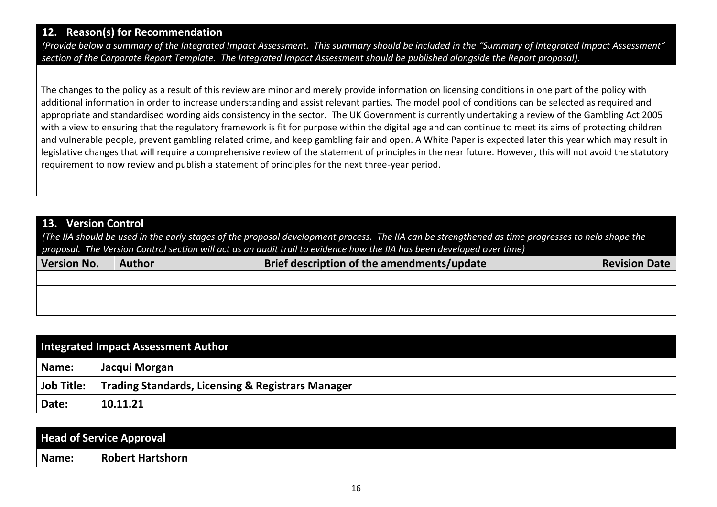### **12. Reason(s) for Recommendation**

*(Provide below a summary of the Integrated Impact Assessment. This summary should be included in the "Summary of Integrated Impact Assessment" section of the Corporate Report Template. The Integrated Impact Assessment should be published alongside the Report proposal).*

The changes to the policy as a result of this review are minor and merely provide information on licensing conditions in one part of the policy with additional information in order to increase understanding and assist relevant parties. The model pool of conditions can be selected as required and appropriate and standardised wording aids consistency in the sector. The UK Government is currently undertaking a review of the Gambling Act 2005 with a view to ensuring that the regulatory framework is fit for purpose within the digital age and can continue to meet its aims of protecting children and vulnerable people, prevent gambling related crime, and keep gambling fair and open. A White Paper is expected later this year which may result in legislative changes that will require a comprehensive review of the statement of principles in the near future. However, this will not avoid the statutory requirement to now review and publish a statement of principles for the next three-year period.

### **13. Version Control**

*(The IIA should be used in the early stages of the proposal development process. The IIA can be strengthened as time progresses to help shape the proposal. The Version Control section will act as an audit trail to evidence how the IIA has been developed over time)*

| <b>Version No.</b> | <b>Author</b> | <b>Brief description of the amendments/update</b> | <b>Revision Date</b> |
|--------------------|---------------|---------------------------------------------------|----------------------|
|                    |               |                                                   |                      |
|                    |               |                                                   |                      |
|                    |               |                                                   |                      |

| Integrated Impact Assessment Author |                                                   |  |
|-------------------------------------|---------------------------------------------------|--|
| Name:                               | Jacqui Morgan                                     |  |
| Job Title:                          | Trading Standards, Licensing & Registrars Manager |  |
| Date:                               | 10.11.21                                          |  |

|       | <b>Head of Service Approval</b> |
|-------|---------------------------------|
| Name: | Robert Hartshorn                |